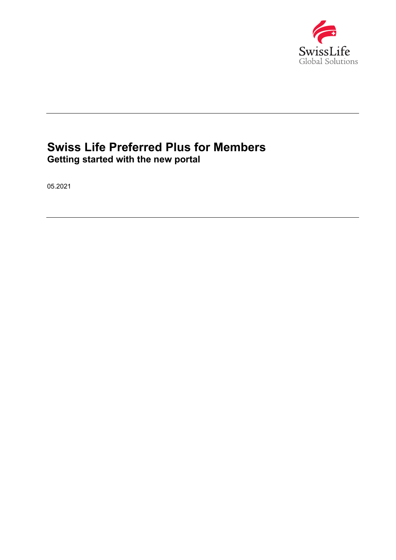

# **Swiss Life Preferred Plus for Members Getting started with the new portal**

05.2021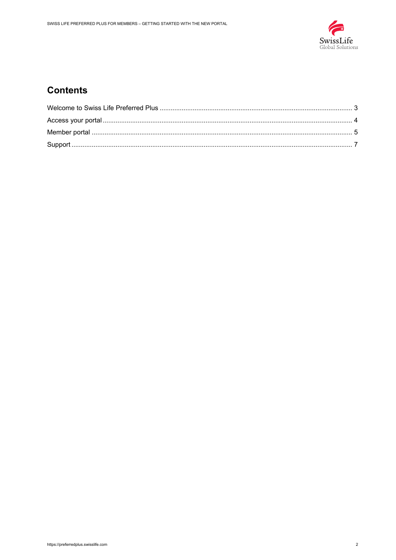

### **Contents**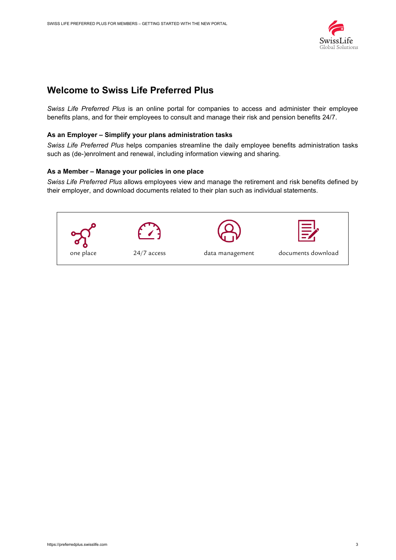

### <span id="page-2-0"></span>**Welcome to Swiss Life Preferred Plus**

*Swiss Life Preferred Plus* is an online portal for companies to access and administer their employee benefits plans, and for their employees to consult and manage their risk and pension benefits 24/7.

#### **As an Employer – Simplify your plans administration tasks**

*Swiss Life Preferred Plus* helps companies streamline the daily employee benefits administration tasks such as (de-)enrolment and renewal, including information viewing and sharing.

#### **As a Member – Manage your policies in one place**

*Swiss Life Preferred Plus* allows employees view and manage the retirement and risk benefits defined by their employer, and download documents related to their plan such as individual statements.

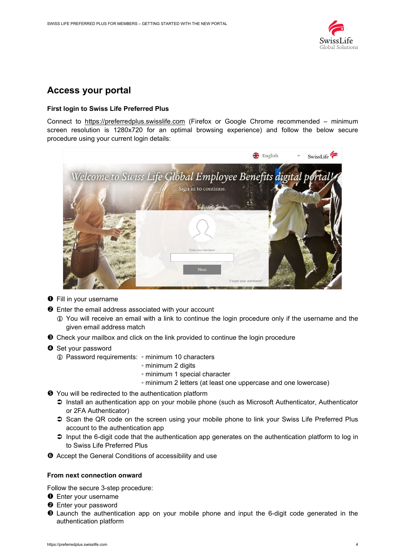

### <span id="page-3-0"></span>**Access your portal**

#### **First login to Swiss Life Preferred Plus**

Connect to https://preferredplus.swisslife.com (Firefox or Google Chrome recommended – minimum screen resolution is 1280x720 for an optimal browsing experience) and follow the below secure procedure using your current login details:



- **O** Fill in your username
- $\Theta$  Enter the email address associated with your account
	- You will receive an email with a link to continue the login procedure only if the username and the given email address match
- Check your mailbox and click on the link provided to continue the login procedure
- **3** Set your password
	- Password requirements: minimum 10 characters
		- minimum 2 digits
		- minimum 1 special character
		- minimum 2 letters (at least one uppercase and one lowercase)
- $\Theta$  You will be redirected to the authentication platform
	- Install an authentication app on your mobile phone (such as Microsoft Authenticator, Authenticator or 2FA Authenticator)
	- $\supset$  Scan the QR code on the screen using your mobile phone to link your Swiss Life Preferred Plus account to the authentication app
	- $\supset$  Input the 6-digit code that the authentication app generates on the authentication platform to log in to Swiss Life Preferred Plus
- $\bullet$  Accept the General Conditions of accessibility and use

#### **From next connection onward**

Follow the secure 3-step procedure:

- **O** Enter your username
- **<sup>O</sup>** Enter your password
- Launch the authentication app on your mobile phone and input the 6-digit code generated in the authentication platform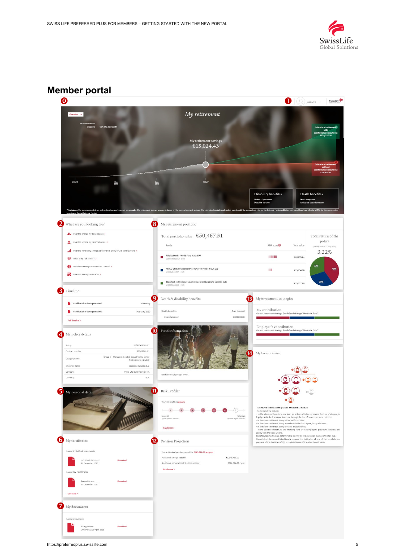

### **Member portal**

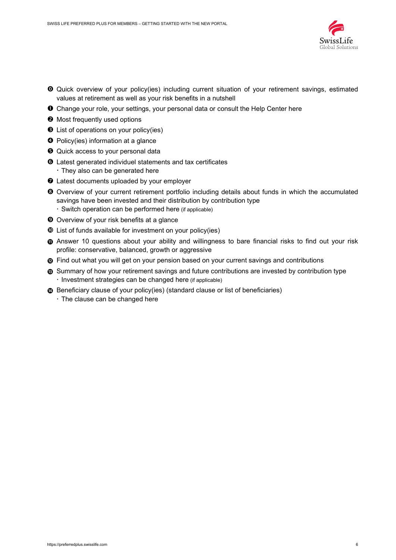

- Quick overview of your policy(ies) including current situation of your retirement savings, estimated values at retirement as well as your risk benefits in a nutshell
- Change your role, your settings, your personal data or consult the Help Center here
- $\Theta$  Most frequently used options
- $\bullet$  List of operations on your policy(ies)
- **O** Policy(ies) information at a glance
- $\Theta$  Quick access to your personal data
- Latest generated individuel statements and tax certificates They also can be generated here
- $\odot$  Latest documents uploaded by your employer
- Overview of your current retirement portfolio including details about funds in which the accumulated savings have been invested and their distribution by contribution type Switch operation can be performed here (if applicable)
- Overview of your risk benefits at a glance
- List of funds available for investment on your policy(ies)
- $\Phi$  Answer 10 questions about your ability and willingness to bare financial risks to find out your risk profile: conservative, balanced, growth or aggressive
- *n* Find out what you will get on your pension based on your current savings and contributions
- $\bullet$  Summary of how your retirement savings and future contributions are invested by contribution type · Investment strategies can be changed here (if applicable)
- **<sup>⓮</sup>** Beneficiary clause of your policy(ies) (standard clause or list of beneficiaries)
	- $\cdot$  The clause can be changed here